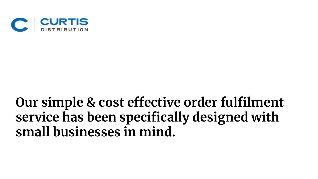

### **Our simple & cost effective order fulfilment service has been specifically designed with small businesses in mind.**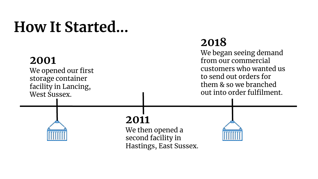### **How It Started...**

### **2001**

We opened our first storage container facility in Lancing, West Sussex.

#### **2018**

We began seeing demand from our commercial customers who wanted us to send out orders for them & so we branched out into order fulfilment.

### **2011**

We then opened a second facility in Hastings, East Sussex.

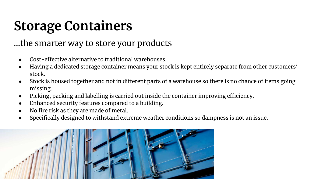### **Storage Containers**

#### ...the smarter way to store your products

- Cost-effective alternative to traditional warehouses.
- Having a dedicated storage container means your stock is kept entirely separate from other customers' stock.
- Stock is housed together and not in different parts of a warehouse so there is no chance of items going missing.
- Picking, packing and labelling is carried out inside the container improving efficiency.
- Enhanced security features compared to a building.
- No fire risk as they are made of metal.
- Specifically designed to withstand extreme weather conditions so dampness is not an issue.

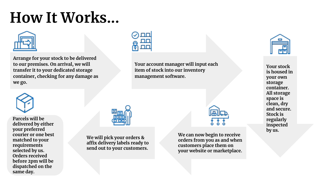# **How It Works...**



**Arrange for your stock to be delivered to our premises. On arrival, we will transfer it to your dedicated storage container, checking for any damage as we go.**



**Your account manager will input each item of stock into our inventory management software.**



**Your stock is housed in your own storage container. All storage space is clean, dry and secure. Stock is regularly inspected by us.** 



**Parcels will be delivered by either your preferred courier or one best matched to your requirements selected by us. Orders received before 2pm will be dispatched on the same day.**



**We will pick your orders & affix delivery labels ready to send out to your customers.**

**We can now begin to receive orders from you as and when customers place them on your website or marketplace.**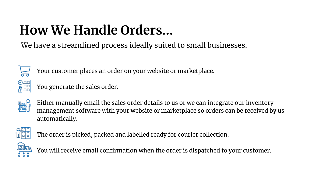### **How We Handle Orders...**

We have a streamlined process ideally suited to small businesses.



Your customer places an order on your website or marketplace.

e<br>ell⊞

You generate the sales order.



Either manually email the sales order details to us or we can integrate our inventory management software with your website or marketplace so orders can be received by us automatically.



The order is picked, packed and labelled ready for courier collection.



You will receive email confirmation when the order is dispatched to your customer.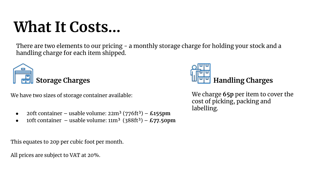# **What It Costs…**

There are two elements to our pricing - a monthly storage charge for holding your stock and a handling charge for each item shipped.



We have two sizes of storage container available:

- 20ft container usable volume: 22m³ (776ft³) **£155pm**
- 10ft container usable volume:  $11m^3$  ( $388ft^3$ )  $\pounds$ 77.50pm

This equates to 20p per cubic foot per month.

All prices are subject to VAT at 20%.



We charge **65p** per item to cover the cost of picking, packing and labelling.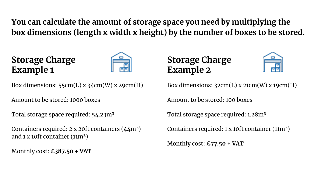**You can calculate the amount of storage space you need by multiplying the box dimensions (length x width x height) by the number of boxes to be stored.**

#### **Storage Charge Example 1**



Box dimensions:  $55cm(L)$  x  $34cm(W)$  x  $29cm(H)$ 

Amount to be stored: 1000 boxes

Total storage space required: 54.23m<sup>3</sup>

Containers required:  $2 \times 2$  oft containers ( $44$ m<sup>3</sup>) and 1 x 10ft container  $(11m^3)$ 

Monthly cost: **£387.50 + VAT**

#### **Storage Charge Example 2**



Box dimensions:  $32cm(L)$  x  $21cm(W)$  x  $19cm(H)$ 

Amount to be stored: 100 boxes

Total storage space required: 1.28m<sup>3</sup>

Containers required: 1 x 10ft container (11m<sup>3</sup>)

Monthly cost: **£77.50 + VAT**